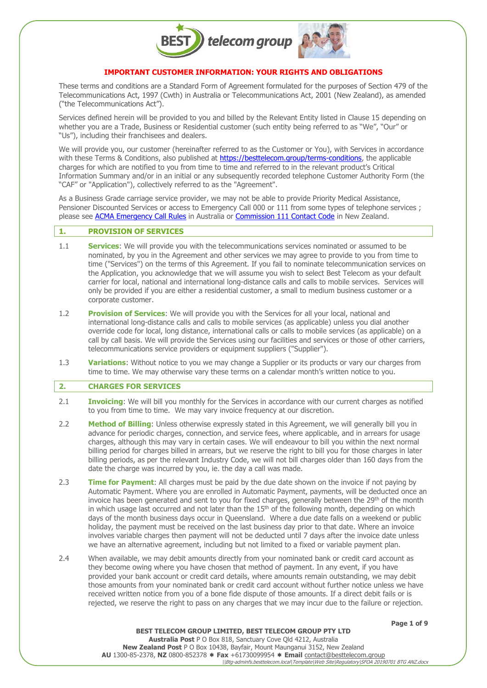

# **IMPORTANT CUSTOMER INFORMATION: YOUR RIGHTS AND OBLIGATIONS**

These terms and conditions are a Standard Form of Agreement formulated for the purposes of Section 479 of the Telecommunications Act, 1997 (Cwth) in Australia or Telecommunications Act, 2001 (New Zealand), as amended ("the Telecommunications Act").

Services defined herein will be provided to you and billed by the Relevant Entity listed in Clause 15 depending on whether you are a Trade, Business or Residential customer (such entity being referred to as "We", "Our" or "Us"), including their franchisees and dealers.

We will provide you, our customer (hereinafter referred to as the Customer or You), with Services in accordance with these Terms & Conditions, also published at [https://besttelecom.group/terms-conditions,](https://besttelecom.group/terms-conditions) the applicable charges for which are notified to you from time to time and referred to in the relevant product's Critical Information Summary and/or in an initial or any subsequently recorded telephone Customer Authority Form (the "CAF" or "Application"), collectively referred to as the "Agreement".

As a Business Grade carriage service provider, we may not be able to provide Priority Medical Assistance, Pensioner Discounted Services or access to Emergency Call 000 or 111 from some types of telephone services ; please see [ACMA Emergency Call Rules](https://www.acma.gov.au/emergency-calls) in Australia or [Commission 111 Contact Code](https://comcom.govt.nz/__data/assets/pdf_file/0020/228314/Commission-111-Contact-Code-17-November-2020.pdf) in New Zealand.

#### **1. PROVISION OF SERVICES**

- 1.1 **Services**: We will provide you with the telecommunications services nominated or assumed to be nominated, by you in the Agreement and other services we may agree to provide to you from time to time ("Services") on the terms of this Agreement. If you fail to nominate telecommunication services on the Application, you acknowledge that we will assume you wish to select Best Telecom as your default carrier for local, national and international long-distance calls and calls to mobile services. Services will only be provided if you are either a residential customer, a small to medium business customer or a corporate customer.
- 1.2 **Provision of Services**: We will provide you with the Services for all your local, national and international long-distance calls and calls to mobile services (as applicable) unless you dial another override code for local, long distance, international calls or calls to mobile services (as applicable) on a call by call basis. We will provide the Services using our facilities and services or those of other carriers, telecommunications service providers or equipment suppliers ("Supplier").
- 1.3 **Variations**: Without notice to you we may change a Supplier or its products or vary our charges from time to time. We may otherwise vary these terms on a calendar month's written notice to you.

# **2. CHARGES FOR SERVICES**

- 2.1 **Invoicing**: We will bill you monthly for the Services in accordance with our current charges as notified to you from time to time. We may vary invoice frequency at our discretion.
- 2.2 **Method of Billing**: Unless otherwise expressly stated in this Agreement, we will generally bill you in advance for periodic charges, connection, and service fees, where applicable, and in arrears for usage charges, although this may vary in certain cases. We will endeavour to bill you within the next normal billing period for charges billed in arrears, but we reserve the right to bill you for those charges in later billing periods, as per the relevant Industry Code, we will not bill charges older than 160 days from the date the charge was incurred by you, ie. the day a call was made.
- 2.3 **Time for Payment**: All charges must be paid by the due date shown on the invoice if not paying by Automatic Payment. Where you are enrolled in Automatic Payment, payments, will be deducted once an invoice has been generated and sent to you for fixed charges, generally between the 29th of the month in which usage last occurred and not later than the  $15<sup>th</sup>$  of the following month, depending on which days of the month business days occur in Queensland. Where a due date falls on a weekend or public holiday, the payment must be received on the last business day prior to that date. Where an invoice involves variable charges then payment will not be deducted until 7 days after the invoice date unless we have an alternative agreement, including but not limited to a fixed or variable payment plan.
- 2.4 When available, we may debit amounts directly from your nominated bank or credit card account as they become owing where you have chosen that method of payment. In any event, if you have provided your bank account or credit card details, where amounts remain outstanding, we may debit those amounts from your nominated bank or credit card account without further notice unless we have received written notice from you of a bone fide dispute of those amounts. If a direct debit fails or is rejected, we reserve the right to pass on any charges that we may incur due to the failure or rejection.

**Page 1 of 9**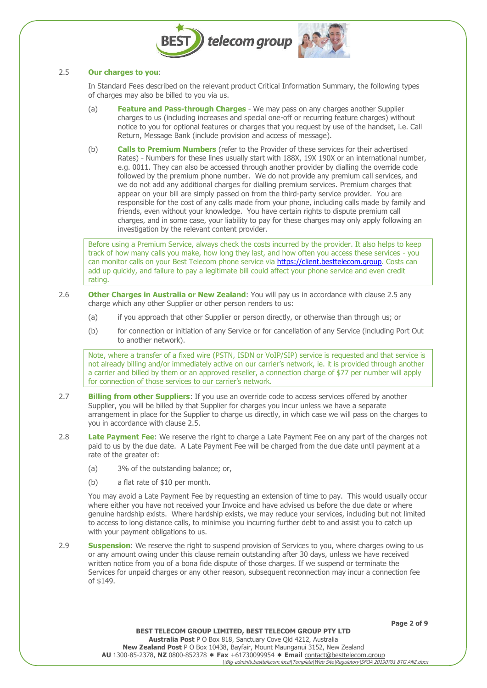

## 2.5 **Our charges to you**:

In Standard Fees described on the relevant product Critical Information Summary, the following types of charges may also be billed to you via us.

- (a) **Feature and Pass-through Charges** We may pass on any charges another Supplier charges to us (including increases and special one-off or recurring feature charges) without notice to you for optional features or charges that you request by use of the handset, i.e. Call Return, Message Bank (include provision and access of message).
- (b) **Calls to Premium Numbers** (refer to the Provider of these services for their advertised Rates) - Numbers for these lines usually start with 188X, 19X 190X or an international number, e.g. 0011. They can also be accessed through another provider by dialling the override code followed by the premium phone number. We do not provide any premium call services, and we do not add any additional charges for dialling premium services. Premium charges that appear on your bill are simply passed on from the third-party service provider. You are responsible for the cost of any calls made from your phone, including calls made by family and friends, even without your knowledge. You have certain rights to dispute premium call charges, and in some case, your liability to pay for these charges may only apply following an investigation by the relevant content provider.

Before using a Premium Service, always check the costs incurred by the provider. It also helps to keep track of how many calls you make, how long they last, and how often you access these services - you can monitor calls on your Best Telecom phone service via [https://client.besttelecom.group.](https://client.besttelecom.group/) Costs can add up quickly, and failure to pay a legitimate bill could affect your phone service and even credit rating.

- 2.6 **Other Charges in Australia or New Zealand**: You will pay us in accordance with clause 2.5 any charge which any other Supplier or other person renders to us:
	- (a) if you approach that other Supplier or person directly, or otherwise than through us; or
	- (b) for connection or initiation of any Service or for cancellation of any Service (including Port Out to another network).

Note, where a transfer of a fixed wire (PSTN, ISDN or VoIP/SIP) service is requested and that service is not already billing and/or immediately active on our carrier's network, ie. it is provided through another a carrier and billed by them or an approved reseller, a connection charge of \$77 per number will apply for connection of those services to our carrier's network.

- 2.7 **Billing from other Suppliers**: If you use an override code to access services offered by another Supplier, you will be billed by that Supplier for charges you incur unless we have a separate arrangement in place for the Supplier to charge us directly, in which case we will pass on the charges to you in accordance with clause 2.5.
- 2.8 **Late Payment Fee**: We reserve the right to charge a Late Payment Fee on any part of the charges not paid to us by the due date. A Late Payment Fee will be charged from the due date until payment at a rate of the greater of:
	- (a) 3% of the outstanding balance; or,
	- (b) a flat rate of \$10 per month.

You may avoid a Late Payment Fee by requesting an extension of time to pay. This would usually occur where either you have not received your Invoice and have advised us before the due date or where genuine hardship exists. Where hardship exists, we may reduce your services, including but not limited to access to long distance calls, to minimise you incurring further debt to and assist you to catch up with your payment obligations to us.

2.9 **Suspension**: We reserve the right to suspend provision of Services to you, where charges owing to us or any amount owing under this clause remain outstanding after 30 days, unless we have received written notice from you of a bona fide dispute of those charges. If we suspend or terminate the Services for unpaid charges or any other reason, subsequent reconnection may incur a connection fee of \$149.

**Page 2 of 9**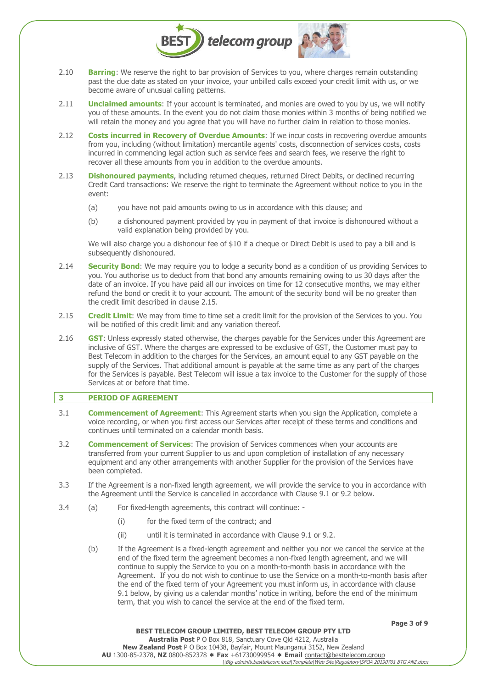

- 2.10 **Barring**: We reserve the right to bar provision of Services to you, where charges remain outstanding past the due date as stated on your invoice, your unbilled calls exceed your credit limit with us, or we become aware of unusual calling patterns.
- 2.11 **Unclaimed amounts**: If your account is terminated, and monies are owed to you by us, we will notify you of these amounts. In the event you do not claim those monies within 3 months of being notified we will retain the money and you agree that you will have no further claim in relation to those monies.
- 2.12 **Costs incurred in Recovery of Overdue Amounts**: If we incur costs in recovering overdue amounts from you, including (without limitation) mercantile agents' costs, disconnection of services costs, costs incurred in commencing legal action such as service fees and search fees, we reserve the right to recover all these amounts from you in addition to the overdue amounts.
- 2.13 **Dishonoured payments**, including returned cheques, returned Direct Debits, or declined recurring Credit Card transactions: We reserve the right to terminate the Agreement without notice to you in the event:
	- (a) you have not paid amounts owing to us in accordance with this clause; and
	- (b) a dishonoured payment provided by you in payment of that invoice is dishonoured without a valid explanation being provided by you.

We will also charge you a dishonour fee of \$10 if a cheque or Direct Debit is used to pay a bill and is subsequently dishonoured.

- 2.14 **Security Bond**: We may require you to lodge a security bond as a condition of us providing Services to you. You authorise us to deduct from that bond any amounts remaining owing to us 30 days after the date of an invoice. If you have paid all our invoices on time for 12 consecutive months, we may either refund the bond or credit it to your account. The amount of the security bond will be no greater than the credit limit described in clause 2.15.
- 2.15 **Credit Limit**: We may from time to time set a credit limit for the provision of the Services to you. You will be notified of this credit limit and any variation thereof.
- 2.16 **GST**: Unless expressly stated otherwise, the charges payable for the Services under this Agreement are inclusive of GST. Where the charges are expressed to be exclusive of GST, the Customer must pay to Best Telecom in addition to the charges for the Services, an amount equal to any GST payable on the supply of the Services. That additional amount is payable at the same time as any part of the charges for the Services is payable. Best Telecom will issue a tax invoice to the Customer for the supply of those Services at or before that time.

# **3 PERIOD OF AGREEMENT**

- 3.1 **Commencement of Agreement**: This Agreement starts when you sign the Application, complete a voice recording, or when you first access our Services after receipt of these terms and conditions and continues until terminated on a calendar month basis.
- 3.2 **Commencement of Services**: The provision of Services commences when your accounts are transferred from your current Supplier to us and upon completion of installation of any necessary equipment and any other arrangements with another Supplier for the provision of the Services have been completed.
- 3.3 If the Agreement is a non-fixed length agreement, we will provide the service to you in accordance with the Agreement until the Service is cancelled in accordance with Clause 9.1 or 9.2 below.
- 3.4 (a) For fixed-length agreements, this contract will continue:
	- (i) for the fixed term of the contract; and
	- (ii) until it is terminated in accordance with Clause 9.1 or 9.2.
	- (b) If the Agreement is a fixed-length agreement and neither you nor we cancel the service at the end of the fixed term the agreement becomes a non-fixed length agreement, and we will continue to supply the Service to you on a month-to-month basis in accordance with the Agreement. If you do not wish to continue to use the Service on a month-to-month basis after the end of the fixed term of your Agreement you must inform us, in accordance with clause 9.1 below, by giving us a calendar months' notice in writing, before the end of the minimum term, that you wish to cancel the service at the end of the fixed term.

**Page 3 of 9**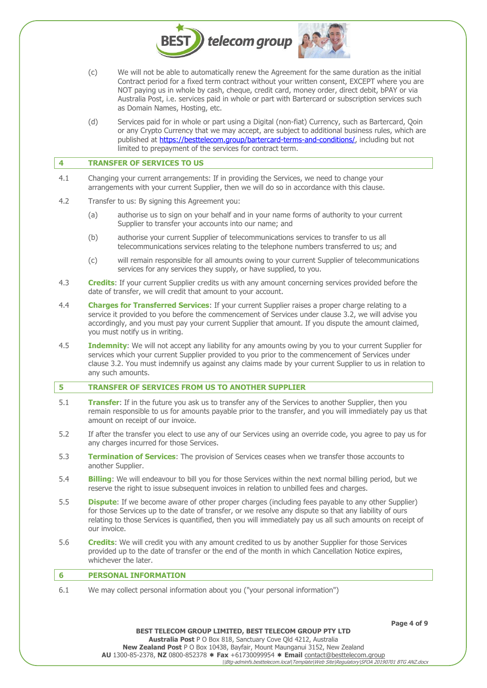

- (c) We will not be able to automatically renew the Agreement for the same duration as the initial Contract period for a fixed term contract without your written consent, EXCEPT where you are NOT paying us in whole by cash, cheque, credit card, money order, direct debit, bPAY or via Australia Post, i.e. services paid in whole or part with Bartercard or subscription services such as Domain Names, Hosting, etc.
- (d) Services paid for in whole or part using a Digital (non-fiat) Currency, such as Bartercard, Qoin or any Crypto Currency that we may accept, are subject to additional business rules, which are published at [https://besttelecom.group/bartercard-terms-and-conditions/,](https://besttelecom.group/bartercard-terms-and-conditions/) including but not limited to prepayment of the services for contract term.

#### **4 TRANSFER OF SERVICES TO US**

- 4.1 Changing your current arrangements: If in providing the Services, we need to change your arrangements with your current Supplier, then we will do so in accordance with this clause.
- 4.2 Transfer to us: By signing this Agreement you:
	- (a) authorise us to sign on your behalf and in your name forms of authority to your current Supplier to transfer your accounts into our name; and
	- (b) authorise your current Supplier of telecommunications services to transfer to us all telecommunications services relating to the telephone numbers transferred to us; and
	- (c) will remain responsible for all amounts owing to your current Supplier of telecommunications services for any services they supply, or have supplied, to you.
- 4.3 **Credits**: If your current Supplier credits us with any amount concerning services provided before the date of transfer, we will credit that amount to your account.
- 4.4 **Charges for Transferred Services**: If your current Supplier raises a proper charge relating to a service it provided to you before the commencement of Services under clause 3.2, we will advise you accordingly, and you must pay your current Supplier that amount. If you dispute the amount claimed, you must notify us in writing.
- 4.5 **Indemnity**: We will not accept any liability for any amounts owing by you to your current Supplier for services which your current Supplier provided to you prior to the commencement of Services under clause 3.2. You must indemnify us against any claims made by your current Supplier to us in relation to any such amounts.

# **5 TRANSFER OF SERVICES FROM US TO ANOTHER SUPPLIER**

- 5.1 **Transfer**: If in the future you ask us to transfer any of the Services to another Supplier, then you remain responsible to us for amounts payable prior to the transfer, and you will immediately pay us that amount on receipt of our invoice.
- 5.2 If after the transfer you elect to use any of our Services using an override code, you agree to pay us for any charges incurred for those Services.
- 5.3 **Termination of Services**: The provision of Services ceases when we transfer those accounts to another Supplier.
- 5.4 **Billing**: We will endeavour to bill you for those Services within the next normal billing period, but we reserve the right to issue subsequent invoices in relation to unbilled fees and charges.
- 5.5 **Dispute**: If we become aware of other proper charges (including fees payable to any other Supplier) for those Services up to the date of transfer, or we resolve any dispute so that any liability of ours relating to those Services is quantified, then you will immediately pay us all such amounts on receipt of our invoice.
- 5.6 **Credits**: We will credit you with any amount credited to us by another Supplier for those Services provided up to the date of transfer or the end of the month in which Cancellation Notice expires, whichever the later.

# **6 PERSONAL INFORMATION**

6.1 We may collect personal information about you ("your personal information")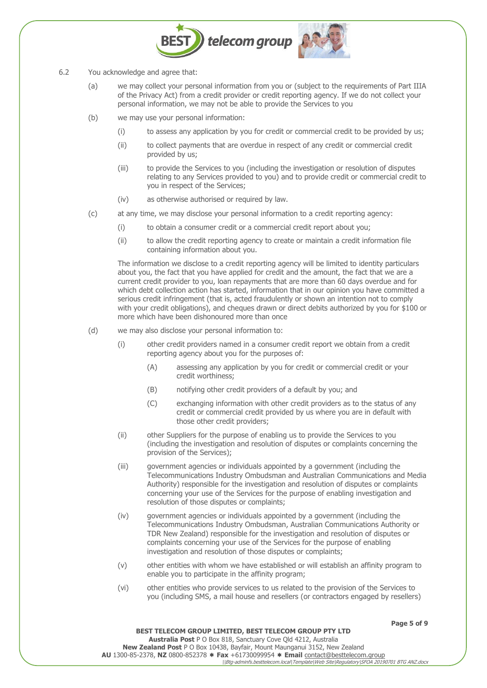

- 6.2 You acknowledge and agree that:
	- (a) we may collect your personal information from you or (subject to the requirements of Part IIIA of the Privacy Act) from a credit provider or credit reporting agency. If we do not collect your personal information, we may not be able to provide the Services to you
	- (b) we may use your personal information:
		- (i) to assess any application by you for credit or commercial credit to be provided by us;
		- (ii) to collect payments that are overdue in respect of any credit or commercial credit provided by us;
		- (iii) to provide the Services to you (including the investigation or resolution of disputes relating to any Services provided to you) and to provide credit or commercial credit to you in respect of the Services;
		- (iv) as otherwise authorised or required by law.
	- (c) at any time, we may disclose your personal information to a credit reporting agency:
		- (i) to obtain a consumer credit or a commercial credit report about you;
		- (ii) to allow the credit reporting agency to create or maintain a credit information file containing information about you.

The information we disclose to a credit reporting agency will be limited to identity particulars about you, the fact that you have applied for credit and the amount, the fact that we are a current credit provider to you, loan repayments that are more than 60 days overdue and for which debt collection action has started, information that in our opinion you have committed a serious credit infringement (that is, acted fraudulently or shown an intention not to comply with your credit obligations), and cheques drawn or direct debits authorized by you for \$100 or more which have been dishonoured more than once

- (d) we may also disclose your personal information to:
	- (i) other credit providers named in a consumer credit report we obtain from a credit reporting agency about you for the purposes of:
		- (A) assessing any application by you for credit or commercial credit or your credit worthiness;
		- (B) notifying other credit providers of a default by you; and
		- (C) exchanging information with other credit providers as to the status of any credit or commercial credit provided by us where you are in default with those other credit providers;
	- (ii) other Suppliers for the purpose of enabling us to provide the Services to you (including the investigation and resolution of disputes or complaints concerning the provision of the Services);
	- (iii) government agencies or individuals appointed by a government (including the Telecommunications Industry Ombudsman and Australian Communications and Media Authority) responsible for the investigation and resolution of disputes or complaints concerning your use of the Services for the purpose of enabling investigation and resolution of those disputes or complaints;
	- (iv) government agencies or individuals appointed by a government (including the Telecommunications Industry Ombudsman, Australian Communications Authority or TDR New Zealand) responsible for the investigation and resolution of disputes or complaints concerning your use of the Services for the purpose of enabling investigation and resolution of those disputes or complaints;
	- (v) other entities with whom we have established or will establish an affinity program to enable you to participate in the affinity program;
	- (vi) other entities who provide services to us related to the provision of the Services to you (including SMS, a mail house and resellers (or contractors engaged by resellers)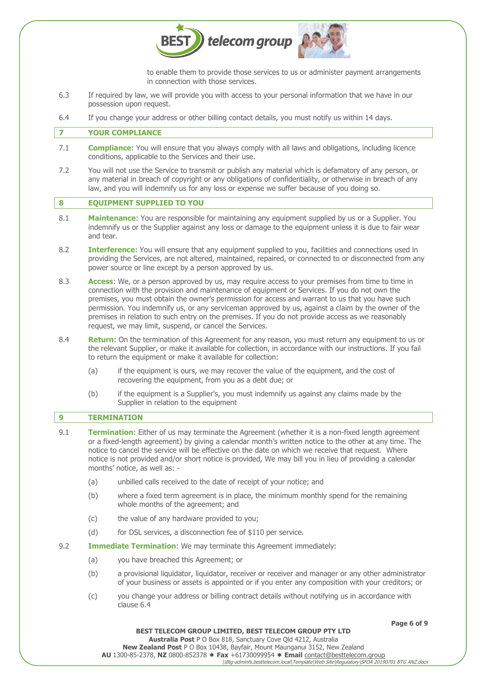

to enable them to provide those services to us or administer payment arrangements in connection with those services.

- 6.3 If required by law, we will provide you with access to your personal information that we have in our possession upon request.
- 6.4 If you change your address or other billing contact details, you must notify us within 14 days.

# **7 YOUR COMPLIANCE**

- 7.1 **Compliance**: You will ensure that you always comply with all laws and obligations, including licence conditions, applicable to the Services and their use.
- 7.2 You will not use the Service to transmit or publish any material which is defamatory of any person, or any material in breach of copyright or any obligations of confidentiality, or otherwise in breach of any law, and you will indemnify us for any loss or expense we suffer because of you doing so.

# **8 EQUIPMENT SUPPLIED TO YOU**

- 8.1 **Maintenance**: You are responsible for maintaining any equipment supplied by us or a Supplier. You indemnify us or the Supplier against any loss or damage to the equipment unless it is due to fair wear and tear.
- 8.2 **Interference**: You will ensure that any equipment supplied to you, facilities and connections used in providing the Services, are not altered, maintained, repaired, or connected to or disconnected from any power source or line except by a person approved by us.
- 8.3 **Access**: We, or a person approved by us, may require access to your premises from time to time in connection with the provision and maintenance of equipment or Services. If you do not own the premises, you must obtain the owner's permission for access and warrant to us that you have such permission. You indemnify us, or any serviceman approved by us, against a claim by the owner of the premises in relation to such entry on the premises. If you do not provide access as we reasonably request, we may limit, suspend, or cancel the Services.
- 8.4 **Return**: On the termination of this Agreement for any reason, you must return any equipment to us or the relevant Supplier, or make it available for collection, in accordance with our instructions. If you fail to return the equipment or make it available for collection:
	- (a) if the equipment is ours, we may recover the value of the equipment, and the cost of recovering the equipment, from you as a debt due; or
	- (b) if the equipment is a Supplier's, you must indemnify us against any claims made by the Supplier in relation to the equipment

# **9 TERMINATION**

- 9.1 **Termination**: Either of us may terminate the Agreement (whether it is a non-fixed length agreement or a fixed-length agreement) by giving a calendar month's written notice to the other at any time. The notice to cancel the service will be effective on the date on which we receive that request. Where notice is not provided and/or short notice is provided, We may bill you in lieu of providing a calendar months' notice, as well as: -
	- (a) unbilled calls received to the date of receipt of your notice; and
	- (b) where a fixed term agreement is in place, the minimum monthly spend for the remaining whole months of the agreement; and
	- (c) the value of any hardware provided to you;
	- (d) for DSL services, a disconnection fee of \$110 per service.
- 9.2 **Immediate Termination**: We may terminate this Agreement immediately:
	- (a) you have breached this Agreement; or
	- (b) a provisional liquidator, liquidator, receiver or receiver and manager or any other administrator of your business or assets is appointed or if you enter any composition with your creditors; or
	- (c) you change your address or billing contract details without notifying us in accordance with clause 6.4

**Page 6 of 9**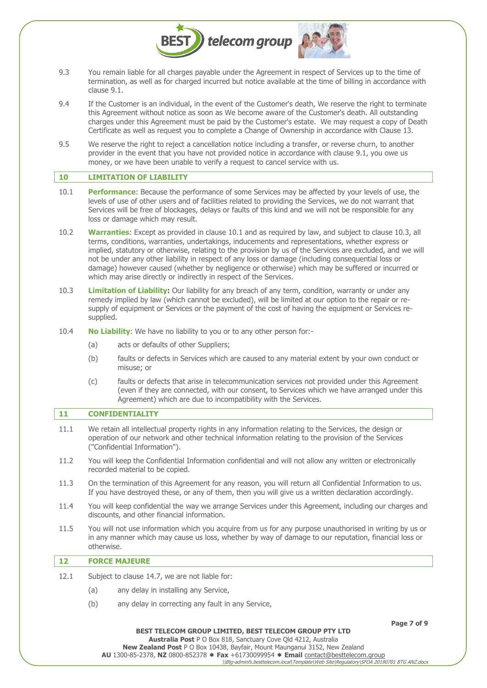

- 9.3 You remain liable for all charges payable under the Agreement in respect of Services up to the time of termination, as well as for charged incurred but notice available at the time of billing in accordance with clause 9.1.
- 9.4 If the Customer is an individual, in the event of the Customer's death, We reserve the right to terminate this Agreement without notice as soon as We become aware of the Customer's death. All outstanding charges under this Agreement must be paid by the Customer's estate. We may request a copy of Death Certificate as well as request you to complete a Change of Ownership in accordance with Clause 13.
- 9.5 We reserve the right to reject a cancellation notice including a transfer, or reverse churn, to another provider in the event that you have not provided notice in accordance with clause 9.1, you owe us money, or we have been unable to verify a request to cancel service with us.

#### **10 LIMITATION OF LIABILITY**

- 10.1 **Performance**: Because the performance of some Services may be affected by your levels of use, the levels of use of other users and of facilities related to providing the Services, we do not warrant that Services will be free of blockages, delays or faults of this kind and we will not be responsible for any loss or damage which may result.
- 10.2 **Warranties**: Except as provided in clause 10.1 and as required by law, and subject to clause 10.3, all terms, conditions, warranties, undertakings, inducements and representations, whether express or implied, statutory or otherwise, relating to the provision by us of the Services are excluded, and we will not be under any other liability in respect of any loss or damage (including consequential loss or damage) however caused (whether by negligence or otherwise) which may be suffered or incurred or which may arise directly or indirectly in respect of the Services.
- 10.3 **Limitation of Liability:** Our liability for any breach of any term, condition, warranty or under any remedy implied by law (which cannot be excluded), will be limited at our option to the repair or resupply of equipment or Services or the payment of the cost of having the equipment or Services resupplied.
- 10.4 **No Liability**: We have no liability to you or to any other person for:-
	- (a) acts or defaults of other Suppliers;
	- (b) faults or defects in Services which are caused to any material extent by your own conduct or misuse; or
	- (c) faults or defects that arise in telecommunication services not provided under this Agreement (even if they are connected, with our consent, to Services which we have arranged under this Agreement) which are due to incompatibility with the Services.

# **11 CONFIDENTIALITY**

- 11.1 We retain all intellectual property rights in any information relating to the Services, the design or operation of our network and other technical information relating to the provision of the Services ("Confidential Information").
- 11.2 You will keep the Confidential Information confidential and will not allow any written or electronically recorded material to be copied.
- 11.3 On the termination of this Agreement for any reason, you will return all Confidential Information to us. If you have destroyed these, or any of them, then you will give us a written declaration accordingly.
- 11.4 You will keep confidential the way we arrange Services under this Agreement, including our charges and discounts, and other financial information.
- 11.5 You will not use information which you acquire from us for any purpose unauthorised in writing by us or in any manner which may cause us loss, whether by way of damage to our reputation, financial loss or otherwise.

# **12 FORCE MAJEURE**

- 12.1 Subject to clause 14.7, we are not liable for:
	- (a) any delay in installing any Service,
	- (b) any delay in correcting any fault in any Service,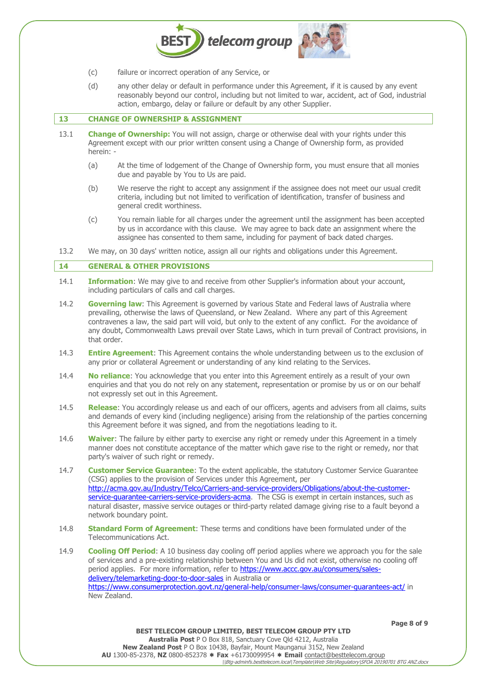- (c) failure or incorrect operation of any Service, or
- (d) any other delay or default in performance under this Agreement, if it is caused by any event reasonably beyond our control, including but not limited to war, accident, act of God, industrial action, embargo, delay or failure or default by any other Supplier.

telecom group

#### **13 CHANGE OF OWNERSHIP & ASSIGNMENT**

- 13.1 **Change of Ownership:** You will not assign, charge or otherwise deal with your rights under this Agreement except with our prior written consent using a Change of Ownership form, as provided herein: -
	- (a) At the time of lodgement of the Change of Ownership form, you must ensure that all monies due and payable by You to Us are paid.
	- (b) We reserve the right to accept any assignment if the assignee does not meet our usual credit criteria, including but not limited to verification of identification, transfer of business and general credit worthiness.
	- (c) You remain liable for all charges under the agreement until the assignment has been accepted by us in accordance with this clause. We may agree to back date an assignment where the assignee has consented to them same, including for payment of back dated charges.
- 13.2 We may, on 30 days' written notice, assign all our rights and obligations under this Agreement.

# **14 GENERAL & OTHER PROVISIONS**

- 14.1 **Information**: We may give to and receive from other Supplier's information about your account, including particulars of calls and call charges.
- 14.2 **Governing law**: This Agreement is governed by various State and Federal laws of Australia where prevailing, otherwise the laws of Queensland, or New Zealand. Where any part of this Agreement contravenes a law, the said part will void, but only to the extent of any conflict. For the avoidance of any doubt, Commonwealth Laws prevail over State Laws, which in turn prevail of Contract provisions, in that order.
- 14.3 **Entire Agreement**: This Agreement contains the whole understanding between us to the exclusion of any prior or collateral Agreement or understanding of any kind relating to the Services.
- 14.4 **No reliance**: You acknowledge that you enter into this Agreement entirely as a result of your own enquiries and that you do not rely on any statement, representation or promise by us or on our behalf not expressly set out in this Agreement.
- 14.5 **Release**: You accordingly release us and each of our officers, agents and advisers from all claims, suits and demands of every kind (including negligence) arising from the relationship of the parties concerning this Agreement before it was signed, and from the negotiations leading to it.
- 14.6 **Waiver**: The failure by either party to exercise any right or remedy under this Agreement in a timely manner does not constitute acceptance of the matter which gave rise to the right or remedy, nor that party's waiver of such right or remedy.
- 14.7 **Customer Service Guarantee**: To the extent applicable, the statutory Customer Service Guarantee (CSG) applies to the provision of Services under this Agreement, per [http://acma.gov.au/Industry/Telco/Carriers-and-service-providers/Obligations/about-the-customer](http://acma.gov.au/Industry/Telco/Carriers-and-service-providers/Obligations/about-the-customer-service-guarantee-carriers-service-providers-acma)service-quarantee-carriers-service-providers-acma. The CSG is exempt in certain instances, such as natural disaster, massive service outages or third-party related damage giving rise to a fault beyond a network boundary point.
- 14.8 **Standard Form of Agreement**: These terms and conditions have been formulated under of the Telecommunications Act.
- 14.9 **Cooling Off Period**: A 10 business day cooling off period applies where we approach you for the sale of services and a pre-existing relationship between You and Us did not exist, otherwise no cooling off period applies. For more information, refer to [https://www.accc.gov.au/consumers/sales](https://www.accc.gov.au/consumers/sales-delivery/telemarketing-door-to-door-sales)[delivery/telemarketing-door-to-door-sales](https://www.accc.gov.au/consumers/sales-delivery/telemarketing-door-to-door-sales) in Australia or <https://www.consumerprotection.govt.nz/general-help/consumer-laws/consumer-guarantees-act/> in New Zealand.

**Page 8 of 9**